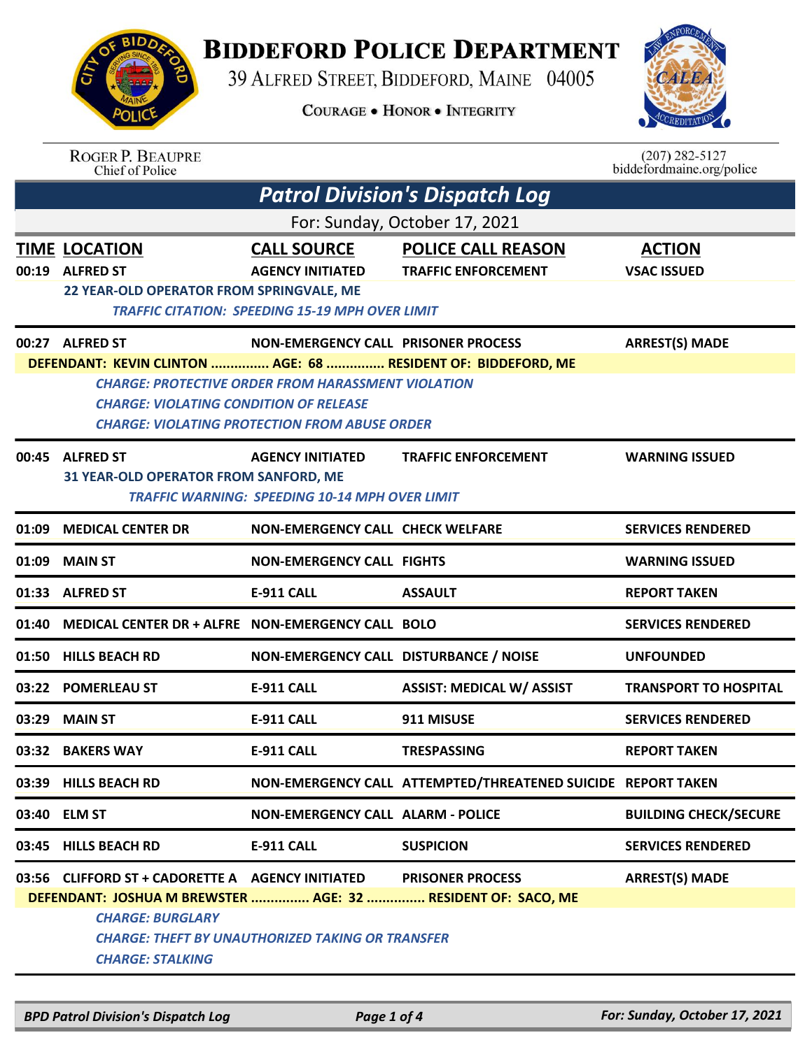## **BIDDEFORD POLICE DEPARTMENT**

39 ALFRED STREET, BIDDEFORD, MAINE 04005

**COURAGE . HONOR . INTEGRITY** 

*Patrol Division's Dispatch Log*



 $(207)$  282-5127 biddefordmaine.org/police

| <b>BIDDA</b>                |  |
|-----------------------------|--|
| ING SING                    |  |
| 689                         |  |
|                             |  |
|                             |  |
| <b>POLI</b><br>$\mathbf{C}$ |  |

ROGER P. BEAUPRE<br>Chief of Police

|       | For: Sunday, October 17, 2021                                                                                                                                          |                                                                                                                   |                                                              |                                     |
|-------|------------------------------------------------------------------------------------------------------------------------------------------------------------------------|-------------------------------------------------------------------------------------------------------------------|--------------------------------------------------------------|-------------------------------------|
|       | TIME LOCATION<br>00:19 ALFRED ST<br>22 YEAR-OLD OPERATOR FROM SPRINGVALE, ME                                                                                           | <b>CALL SOURCE</b><br><b>AGENCY INITIATED</b><br><b>TRAFFIC CITATION: SPEEDING 15-19 MPH OVER LIMIT</b>           | <b>POLICE CALL REASON</b><br><b>TRAFFIC ENFORCEMENT</b>      | <b>ACTION</b><br><b>VSAC ISSUED</b> |
|       | 00:27 ALFRED ST                                                                                                                                                        | <b>NON-EMERGENCY CALL PRISONER PROCESS</b>                                                                        |                                                              | <b>ARREST(S) MADE</b>               |
|       | DEFENDANT: KEVIN CLINTON  AGE: 68  RESIDENT OF: BIDDEFORD, ME<br><b>CHARGE: VIOLATING CONDITION OF RELEASE</b>                                                         | <b>CHARGE: PROTECTIVE ORDER FROM HARASSMENT VIOLATION</b><br><b>CHARGE: VIOLATING PROTECTION FROM ABUSE ORDER</b> |                                                              |                                     |
|       | 00:45 ALFRED ST<br>31 YEAR-OLD OPERATOR FROM SANFORD, ME                                                                                                               | <b>AGENCY INITIATED</b><br><b>TRAFFIC WARNING: SPEEDING 10-14 MPH OVER LIMIT</b>                                  | <b>TRAFFIC ENFORCEMENT</b>                                   | <b>WARNING ISSUED</b>               |
| 01:09 | <b>MEDICAL CENTER DR</b>                                                                                                                                               | <b>NON-EMERGENCY CALL CHECK WELFARE</b>                                                                           |                                                              | <b>SERVICES RENDERED</b>            |
| 01:09 | <b>MAIN ST</b>                                                                                                                                                         | <b>NON-EMERGENCY CALL FIGHTS</b>                                                                                  |                                                              | <b>WARNING ISSUED</b>               |
|       | 01:33 ALFRED ST                                                                                                                                                        | <b>E-911 CALL</b>                                                                                                 | <b>ASSAULT</b>                                               | <b>REPORT TAKEN</b>                 |
| 01:40 | MEDICAL CENTER DR + ALFRE NON-EMERGENCY CALL BOLO                                                                                                                      |                                                                                                                   |                                                              | <b>SERVICES RENDERED</b>            |
|       | 01:50 HILLS BEACH RD                                                                                                                                                   | NON-EMERGENCY CALL DISTURBANCE / NOISE                                                                            |                                                              | <b>UNFOUNDED</b>                    |
|       | 03:22 POMERLEAU ST                                                                                                                                                     | <b>E-911 CALL</b>                                                                                                 | <b>ASSIST: MEDICAL W/ ASSIST</b>                             | <b>TRANSPORT TO HOSPITAL</b>        |
| 03:29 | <b>MAIN ST</b>                                                                                                                                                         | <b>E-911 CALL</b>                                                                                                 | 911 MISUSE                                                   | <b>SERVICES RENDERED</b>            |
|       | 03:32 BAKERS WAY                                                                                                                                                       | <b>E-911 CALL</b>                                                                                                 | <b>TRESPASSING</b>                                           | <b>REPORT TAKEN</b>                 |
|       | 03:39 HILLS BEACH RD                                                                                                                                                   |                                                                                                                   | NON-EMERGENCY CALL ATTEMPTED/THREATENED SUICIDE REPORT TAKEN |                                     |
|       | 03:40 ELM ST                                                                                                                                                           | <b>NON-EMERGENCY CALL ALARM - POLICE</b>                                                                          |                                                              | <b>BUILDING CHECK/SECURE</b>        |
|       | 03:45 HILLS BEACH RD                                                                                                                                                   | <b>E-911 CALL</b>                                                                                                 | <b>SUSPICION</b>                                             | <b>SERVICES RENDERED</b>            |
|       | 03:56 CLIFFORD ST + CADORETTE A AGENCY INITIATED<br>DEFENDANT: JOSHUA M BREWSTER  AGE: 32  RESIDENT OF: SACO, ME<br><b>CHARGE: BURGLARY</b><br><b>CHARGE: STALKING</b> | <b>CHARGE: THEFT BY UNAUTHORIZED TAKING OR TRANSFER</b>                                                           | <b>PRISONER PROCESS</b>                                      | <b>ARREST(S) MADE</b>               |
|       |                                                                                                                                                                        |                                                                                                                   |                                                              |                                     |

*BPD Patrol Division's Dispatch Log Page 1 of 4 For: Sunday, October 17, 2021*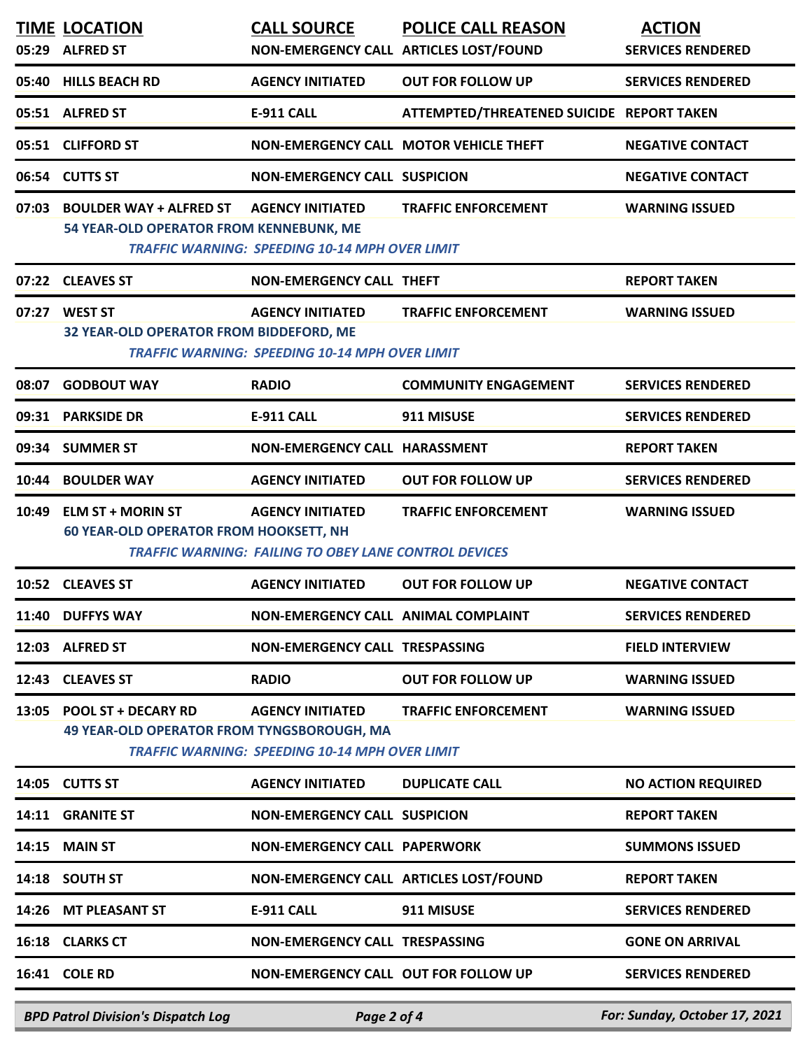| 05:29 | <b>TIME LOCATION</b><br><b>ALFRED ST</b>                                       | <b>CALL SOURCE</b>                                                                      | <b>POLICE CALL REASON</b><br>NON-EMERGENCY CALL ARTICLES LOST/FOUND | <b>ACTION</b><br><b>SERVICES RENDERED</b> |
|-------|--------------------------------------------------------------------------------|-----------------------------------------------------------------------------------------|---------------------------------------------------------------------|-------------------------------------------|
|       | 05:40 HILLS BEACH RD                                                           | <b>AGENCY INITIATED</b>                                                                 | <b>OUT FOR FOLLOW UP</b>                                            | <b>SERVICES RENDERED</b>                  |
|       | 05:51 ALFRED ST                                                                | <b>E-911 CALL</b>                                                                       | ATTEMPTED/THREATENED SUICIDE REPORT TAKEN                           |                                           |
|       | 05:51 CLIFFORD ST                                                              |                                                                                         | NON-EMERGENCY CALL MOTOR VEHICLE THEFT                              | <b>NEGATIVE CONTACT</b>                   |
| 06:54 | <b>CUTTS ST</b>                                                                | <b>NON-EMERGENCY CALL SUSPICION</b>                                                     |                                                                     | <b>NEGATIVE CONTACT</b>                   |
| 07:03 | <b>BOULDER WAY + ALFRED ST</b><br>54 YEAR-OLD OPERATOR FROM KENNEBUNK, ME      | <b>AGENCY INITIATED</b><br><b>TRAFFIC WARNING: SPEEDING 10-14 MPH OVER LIMIT</b>        | <b>TRAFFIC ENFORCEMENT</b>                                          | <b>WARNING ISSUED</b>                     |
|       | 07:22 CLEAVES ST                                                               | <b>NON-EMERGENCY CALL THEFT</b>                                                         |                                                                     | <b>REPORT TAKEN</b>                       |
|       | 07:27 WEST ST<br>32 YEAR-OLD OPERATOR FROM BIDDEFORD, ME                       | <b>AGENCY INITIATED</b><br><b>TRAFFIC WARNING: SPEEDING 10-14 MPH OVER LIMIT</b>        | <b>TRAFFIC ENFORCEMENT</b>                                          | <b>WARNING ISSUED</b>                     |
| 08:07 | <b>GODBOUT WAY</b>                                                             | <b>RADIO</b>                                                                            | <b>COMMUNITY ENGAGEMENT</b>                                         | <b>SERVICES RENDERED</b>                  |
|       | 09:31 PARKSIDE DR                                                              | <b>E-911 CALL</b>                                                                       | 911 MISUSE                                                          | <b>SERVICES RENDERED</b>                  |
| 09:34 | <b>SUMMER ST</b>                                                               | NON-EMERGENCY CALL HARASSMENT                                                           |                                                                     | <b>REPORT TAKEN</b>                       |
| 10:44 | <b>BOULDER WAY</b>                                                             | <b>AGENCY INITIATED</b>                                                                 | <b>OUT FOR FOLLOW UP</b>                                            | <b>SERVICES RENDERED</b>                  |
| 10:49 | <b>ELM ST + MORIN ST</b><br><b>60 YEAR-OLD OPERATOR FROM HOOKSETT, NH</b>      | <b>AGENCY INITIATED</b><br><b>TRAFFIC WARNING: FAILING TO OBEY LANE CONTROL DEVICES</b> | <b>TRAFFIC ENFORCEMENT</b>                                          | <b>WARNING ISSUED</b>                     |
|       | 10:52 CLEAVES ST                                                               | <b>AGENCY INITIATED</b>                                                                 | <b>OUT FOR FOLLOW UP</b>                                            | <b>NEGATIVE CONTACT</b>                   |
|       | 11:40 DUFFYS WAY                                                               | NON-EMERGENCY CALL ANIMAL COMPLAINT                                                     |                                                                     | <b>SERVICES RENDERED</b>                  |
|       | 12:03 ALFRED ST                                                                | NON-EMERGENCY CALL TRESPASSING                                                          |                                                                     | <b>FIELD INTERVIEW</b>                    |
|       | 12:43 CLEAVES ST                                                               | <b>RADIO</b>                                                                            | <b>OUT FOR FOLLOW UP</b>                                            | <b>WARNING ISSUED</b>                     |
|       | 13:05 POOL ST + DECARY RD<br><b>49 YEAR-OLD OPERATOR FROM TYNGSBOROUGH, MA</b> | <b>AGENCY INITIATED</b><br><b>TRAFFIC WARNING: SPEEDING 10-14 MPH OVER LIMIT</b>        | <b>TRAFFIC ENFORCEMENT</b>                                          | <b>WARNING ISSUED</b>                     |
|       | 14:05 CUTTS ST                                                                 | <b>AGENCY INITIATED</b>                                                                 | <b>DUPLICATE CALL</b>                                               | <b>NO ACTION REQUIRED</b>                 |
|       | 14:11 GRANITE ST                                                               | <b>NON-EMERGENCY CALL SUSPICION</b>                                                     |                                                                     | <b>REPORT TAKEN</b>                       |
|       | 14:15 MAIN ST                                                                  | <b>NON-EMERGENCY CALL PAPERWORK</b>                                                     |                                                                     | <b>SUMMONS ISSUED</b>                     |
|       | 14:18 SOUTH ST                                                                 |                                                                                         | NON-EMERGENCY CALL ARTICLES LOST/FOUND                              | <b>REPORT TAKEN</b>                       |
|       | 14:26 MT PLEASANT ST                                                           | E-911 CALL                                                                              | 911 MISUSE                                                          | <b>SERVICES RENDERED</b>                  |
|       | 16:18 CLARKS CT                                                                | NON-EMERGENCY CALL TRESPASSING                                                          |                                                                     | <b>GONE ON ARRIVAL</b>                    |
|       | 16:41 COLE RD                                                                  | NON-EMERGENCY CALL OUT FOR FOLLOW UP                                                    |                                                                     | <b>SERVICES RENDERED</b>                  |

*BPD Patrol Division's Dispatch Log Page 2 of 4 For: Sunday, October 17, 2021*